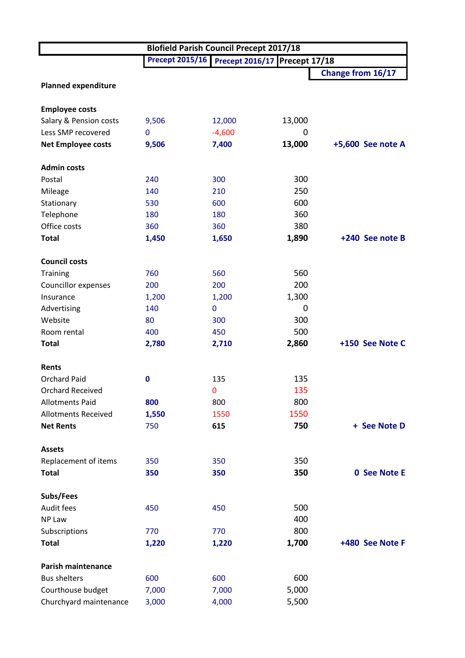|                            | <b>Blofield Parish Council Precept 2017/18</b> |                                               |        |                     |  |  |
|----------------------------|------------------------------------------------|-----------------------------------------------|--------|---------------------|--|--|
|                            |                                                | Precept 2015/16 Precept 2016/17 Precept 17/18 |        |                     |  |  |
|                            |                                                |                                               |        | Change from 16/17   |  |  |
| <b>Planned expenditure</b> |                                                |                                               |        |                     |  |  |
| <b>Employee costs</b>      |                                                |                                               |        |                     |  |  |
| Salary & Pension costs     | 9,506                                          | 12,000                                        | 13,000 |                     |  |  |
| Less SMP recovered         | $\mathbf 0$                                    | $-4,600$                                      | 0      |                     |  |  |
| <b>Net Employee costs</b>  | 9,506                                          | 7,400                                         | 13,000 | +5,600 See note A   |  |  |
| <b>Admin costs</b>         |                                                |                                               |        |                     |  |  |
| Postal                     | 240                                            | 300                                           | 300    |                     |  |  |
| Mileage                    | 140                                            | 210                                           | 250    |                     |  |  |
| Stationary                 | 530                                            | 600                                           | 600    |                     |  |  |
| Telephone                  | 180                                            | 180                                           | 360    |                     |  |  |
| Office costs               | 360                                            | 360                                           | 380    |                     |  |  |
| <b>Total</b>               | 1,450                                          | 1,650                                         | 1,890  | +240 See note B     |  |  |
| <b>Council costs</b>       |                                                |                                               |        |                     |  |  |
| Training                   | 760                                            | 560                                           | 560    |                     |  |  |
| Councillor expenses        | 200                                            | 200                                           | 200    |                     |  |  |
| Insurance                  | 1,200                                          | 1,200                                         | 1,300  |                     |  |  |
| Advertising                | 140                                            | $\mathbf{0}$                                  | 0      |                     |  |  |
| Website                    | 80                                             | 300                                           | 300    |                     |  |  |
| Room rental                | 400                                            | 450                                           | 500    |                     |  |  |
| <b>Total</b>               | 2,780                                          | 2,710                                         | 2,860  | +150 See Note C     |  |  |
| Rents                      |                                                |                                               |        |                     |  |  |
| <b>Orchard Paid</b>        | 0                                              | 135                                           | 135    |                     |  |  |
| Orchard Received           |                                                | $\mathbf{0}$                                  | 135    |                     |  |  |
| <b>Allotments Paid</b>     | 800                                            | 800                                           | 800    |                     |  |  |
| <b>Allotments Received</b> | 1,550                                          | 1550                                          | 1550   |                     |  |  |
| <b>Net Rents</b>           | 750                                            | 615                                           | 750    | + See Note D        |  |  |
| <b>Assets</b>              |                                                |                                               |        |                     |  |  |
| Replacement of items       | 350                                            | 350                                           | 350    |                     |  |  |
| <b>Total</b>               | 350                                            | 350                                           | 350    | <b>0 See Note E</b> |  |  |
| Subs/Fees                  |                                                |                                               |        |                     |  |  |
| Audit fees                 | 450                                            | 450                                           | 500    |                     |  |  |
| NP Law                     |                                                |                                               | 400    |                     |  |  |
| Subscriptions              | 770                                            | 770                                           | 800    |                     |  |  |
| <b>Total</b>               | 1,220                                          | 1,220                                         | 1,700  | +480 See Note F     |  |  |
| <b>Parish maintenance</b>  |                                                |                                               |        |                     |  |  |
| <b>Bus shelters</b>        | 600                                            | 600                                           | 600    |                     |  |  |
| Courthouse budget          | 7,000                                          | 7,000                                         | 5,000  |                     |  |  |
| Churchyard maintenance     | 3,000                                          | 4,000                                         | 5,500  |                     |  |  |